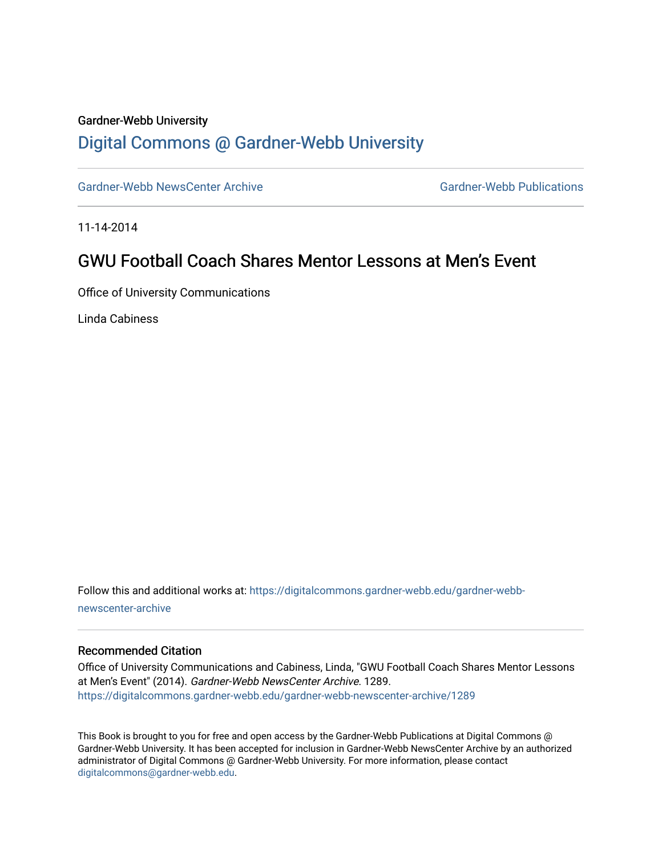#### Gardner-Webb University

## [Digital Commons @ Gardner-Webb University](https://digitalcommons.gardner-webb.edu/)

[Gardner-Webb NewsCenter Archive](https://digitalcommons.gardner-webb.edu/gardner-webb-newscenter-archive) Gardner-Webb Publications

11-14-2014

## GWU Football Coach Shares Mentor Lessons at Men's Event

Office of University Communications

Linda Cabiness

Follow this and additional works at: [https://digitalcommons.gardner-webb.edu/gardner-webb](https://digitalcommons.gardner-webb.edu/gardner-webb-newscenter-archive?utm_source=digitalcommons.gardner-webb.edu%2Fgardner-webb-newscenter-archive%2F1289&utm_medium=PDF&utm_campaign=PDFCoverPages)[newscenter-archive](https://digitalcommons.gardner-webb.edu/gardner-webb-newscenter-archive?utm_source=digitalcommons.gardner-webb.edu%2Fgardner-webb-newscenter-archive%2F1289&utm_medium=PDF&utm_campaign=PDFCoverPages)

#### Recommended Citation

Office of University Communications and Cabiness, Linda, "GWU Football Coach Shares Mentor Lessons at Men's Event" (2014). Gardner-Webb NewsCenter Archive. 1289. [https://digitalcommons.gardner-webb.edu/gardner-webb-newscenter-archive/1289](https://digitalcommons.gardner-webb.edu/gardner-webb-newscenter-archive/1289?utm_source=digitalcommons.gardner-webb.edu%2Fgardner-webb-newscenter-archive%2F1289&utm_medium=PDF&utm_campaign=PDFCoverPages) 

This Book is brought to you for free and open access by the Gardner-Webb Publications at Digital Commons @ Gardner-Webb University. It has been accepted for inclusion in Gardner-Webb NewsCenter Archive by an authorized administrator of Digital Commons @ Gardner-Webb University. For more information, please contact [digitalcommons@gardner-webb.edu](mailto:digitalcommons@gardner-webb.edu).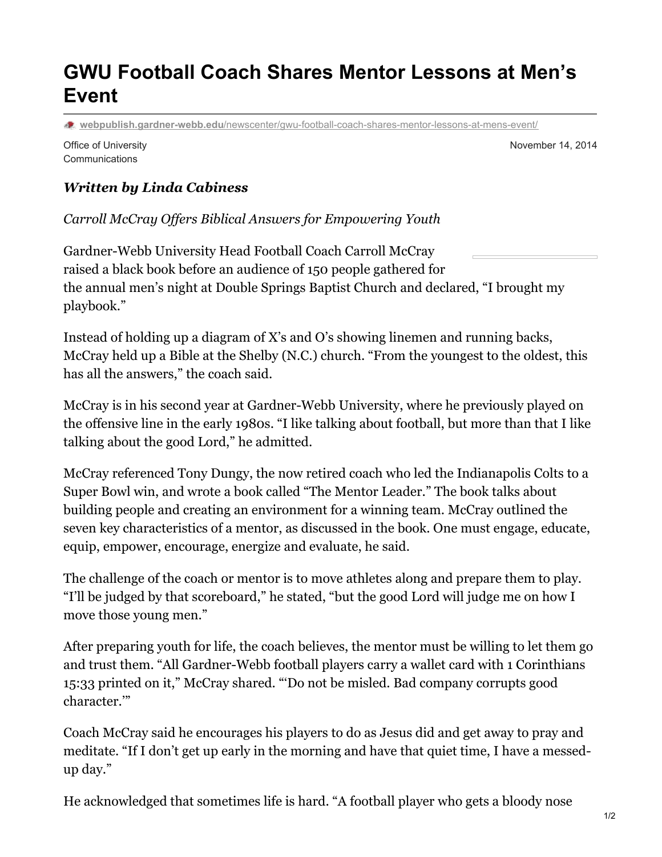# **GWU Football Coach Shares Mentor Lessons at Men's Event**

**webpublish.gardner-webb.edu**[/newscenter/gwu-football-coach-shares-mentor-lessons-at-mens-event/](https://webpublish.gardner-webb.edu/newscenter/gwu-football-coach-shares-mentor-lessons-at-mens-event/)

Office of University **Communications** 

November 14, 2014

### *Written by Linda Cabiness*

*Carroll McCray Of ers Biblical Answers for Empowering Youth*

Gardner-Webb University Head Football Coach Carroll McCray raised a black book before an audience of 150 people gathered for the annual men's night at Double Springs Baptist Church and declared, "I brought my playbook."

Instead of holding up a diagram of X's and O's showing linemen and running backs, McCray held up a Bible at the Shelby (N.C.) church. "From the youngest to the oldest, this has all the answers," the coach said.

McCray is in his second year at Gardner-Webb University, where he previously played on the offensive line in the early 1980s. "I like talking about football, but more than that I like talking about the good Lord," he admitted.

McCray referenced Tony Dungy, the now retired coach who led the Indianapolis Colts to a Super Bowl win, and wrote a book called "The Mentor Leader." The book talks about building people and creating an environment for a winning team. McCray outlined the seven key characteristics of a mentor, as discussed in the book. One must engage, educate, equip, empower, encourage, energize and evaluate, he said.

The challenge of the coach or mentor is to move athletes along and prepare them to play. "I'll be judged by that scoreboard," he stated, "but the good Lord will judge me on how I move those young men."

After preparing youth for life, the coach believes, the mentor must be willing to let them go and trust them. "All Gardner-Webb football players carry a wallet card with 1 Corinthians 15:33 printed on it," McCray shared. "'Do not be misled. Bad company corrupts good character.'"

Coach McCray said he encourages his players to do as Jesus did and get away to pray and meditate. "If I don't get up early in the morning and have that quiet time, I have a messedup day."

He acknowledged that sometimes life is hard. "A football player who gets a bloody nose